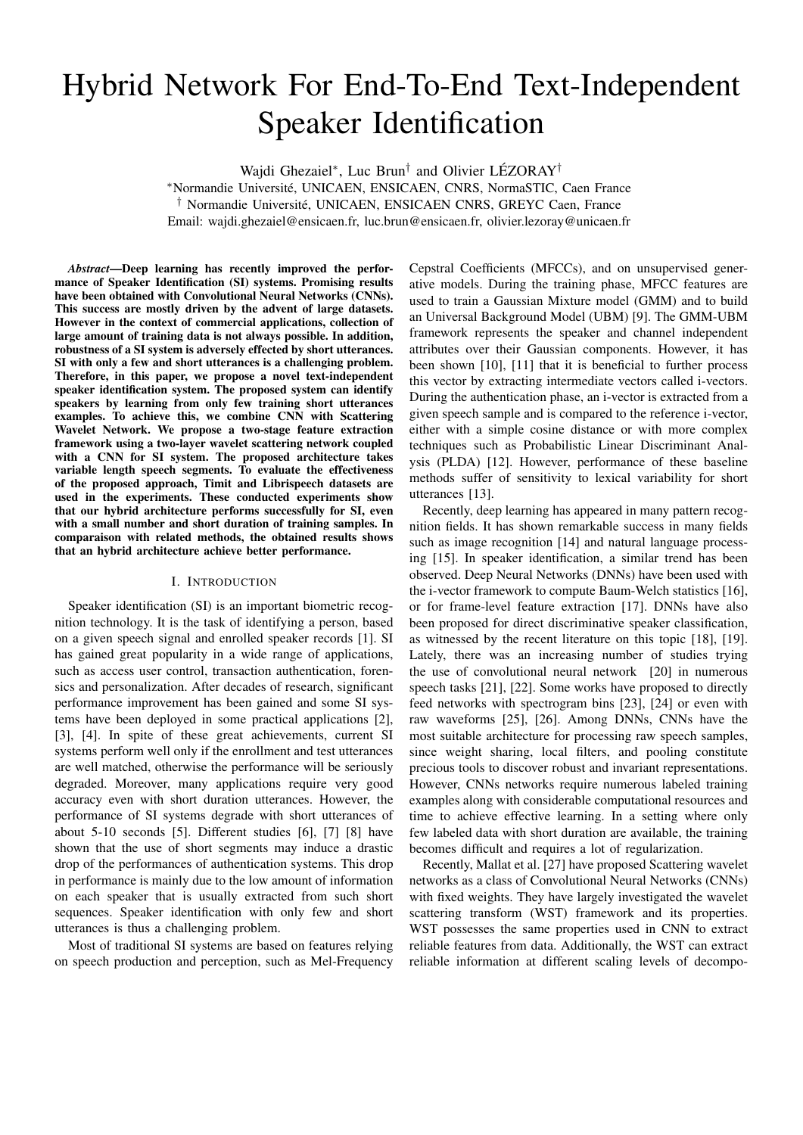# Hybrid Network For End-To-End Text-Independent Speaker Identification

Wajdi Ghezaiel<sup>∗</sup>, Luc Brun<sup>†</sup> and Olivier LÉZORAY<sup>†</sup>

<sup>∗</sup>Normandie Universite, UNICAEN, ENSICAEN, CNRS, NormaSTIC, Caen France ´ <sup>†</sup> Normandie Université, UNICAEN, ENSICAEN CNRS, GREYC Caen, France Email: wajdi.ghezaiel@ensicaen.fr, luc.brun@ensicaen.fr, olivier.lezoray@unicaen.fr

*Abstract*—Deep learning has recently improved the performance of Speaker Identification (SI) systems. Promising results have been obtained with Convolutional Neural Networks (CNNs). This success are mostly driven by the advent of large datasets. However in the context of commercial applications, collection of large amount of training data is not always possible. In addition, robustness of a SI system is adversely effected by short utterances. SI with only a few and short utterances is a challenging problem. Therefore, in this paper, we propose a novel text-independent speaker identification system. The proposed system can identify speakers by learning from only few training short utterances examples. To achieve this, we combine CNN with Scattering Wavelet Network. We propose a two-stage feature extraction framework using a two-layer wavelet scattering network coupled with a CNN for SI system. The proposed architecture takes variable length speech segments. To evaluate the effectiveness of the proposed approach, Timit and Librispeech datasets are used in the experiments. These conducted experiments show that our hybrid architecture performs successfully for SI, even with a small number and short duration of training samples. In comparaison with related methods, the obtained results shows that an hybrid architecture achieve better performance.

# I. INTRODUCTION

Speaker identification (SI) is an important biometric recognition technology. It is the task of identifying a person, based on a given speech signal and enrolled speaker records [1]. SI has gained great popularity in a wide range of applications, such as access user control, transaction authentication, forensics and personalization. After decades of research, significant performance improvement has been gained and some SI systems have been deployed in some practical applications [2], [3], [4]. In spite of these great achievements, current SI systems perform well only if the enrollment and test utterances are well matched, otherwise the performance will be seriously degraded. Moreover, many applications require very good accuracy even with short duration utterances. However, the performance of SI systems degrade with short utterances of about 5-10 seconds [5]. Different studies [6], [7] [8] have shown that the use of short segments may induce a drastic drop of the performances of authentication systems. This drop in performance is mainly due to the low amount of information on each speaker that is usually extracted from such short sequences. Speaker identification with only few and short utterances is thus a challenging problem.

Most of traditional SI systems are based on features relying on speech production and perception, such as Mel-Frequency

Cepstral Coefficients (MFCCs), and on unsupervised generative models. During the training phase, MFCC features are used to train a Gaussian Mixture model (GMM) and to build an Universal Background Model (UBM) [9]. The GMM-UBM framework represents the speaker and channel independent attributes over their Gaussian components. However, it has been shown [10], [11] that it is beneficial to further process this vector by extracting intermediate vectors called i-vectors. During the authentication phase, an i-vector is extracted from a given speech sample and is compared to the reference i-vector, either with a simple cosine distance or with more complex techniques such as Probabilistic Linear Discriminant Analysis (PLDA) [12]. However, performance of these baseline methods suffer of sensitivity to lexical variability for short utterances [13].

Recently, deep learning has appeared in many pattern recognition fields. It has shown remarkable success in many fields such as image recognition [14] and natural language processing [15]. In speaker identification, a similar trend has been observed. Deep Neural Networks (DNNs) have been used with the i-vector framework to compute Baum-Welch statistics [16], or for frame-level feature extraction [17]. DNNs have also been proposed for direct discriminative speaker classification, as witnessed by the recent literature on this topic [18], [19]. Lately, there was an increasing number of studies trying the use of convolutional neural network [20] in numerous speech tasks [21], [22]. Some works have proposed to directly feed networks with spectrogram bins [23], [24] or even with raw waveforms [25], [26]. Among DNNs, CNNs have the most suitable architecture for processing raw speech samples, since weight sharing, local filters, and pooling constitute precious tools to discover robust and invariant representations. However, CNNs networks require numerous labeled training examples along with considerable computational resources and time to achieve effective learning. In a setting where only few labeled data with short duration are available, the training becomes difficult and requires a lot of regularization.

Recently, Mallat et al. [27] have proposed Scattering wavelet networks as a class of Convolutional Neural Networks (CNNs) with fixed weights. They have largely investigated the wavelet scattering transform (WST) framework and its properties. WST possesses the same properties used in CNN to extract reliable features from data. Additionally, the WST can extract reliable information at different scaling levels of decompo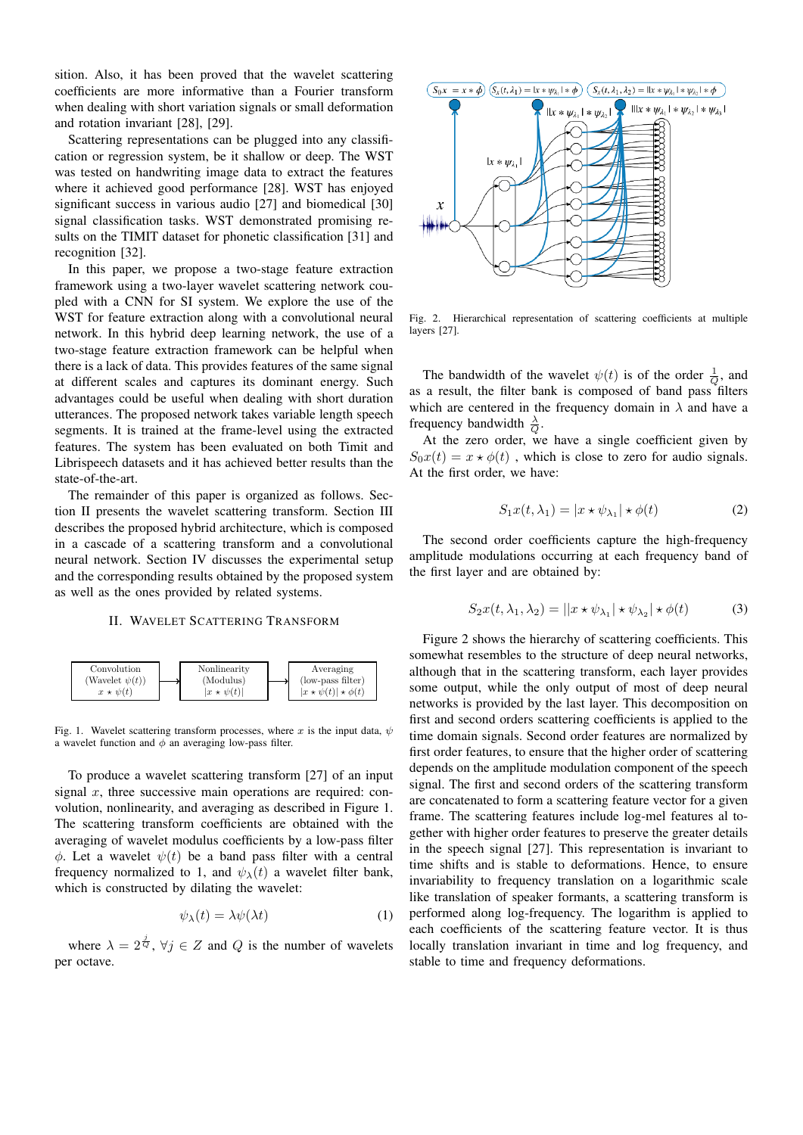sition. Also, it has been proved that the wavelet scattering coefficients are more informative than a Fourier transform when dealing with short variation signals or small deformation and rotation invariant [28], [29].

Scattering representations can be plugged into any classification or regression system, be it shallow or deep. The WST was tested on handwriting image data to extract the features where it achieved good performance [28]. WST has enjoyed significant success in various audio [27] and biomedical [30] signal classification tasks. WST demonstrated promising results on the TIMIT dataset for phonetic classification [31] and recognition [32].

In this paper, we propose a two-stage feature extraction framework using a two-layer wavelet scattering network coupled with a CNN for SI system. We explore the use of the WST for feature extraction along with a convolutional neural network. In this hybrid deep learning network, the use of a two-stage feature extraction framework can be helpful when there is a lack of data. This provides features of the same signal at different scales and captures its dominant energy. Such advantages could be useful when dealing with short duration utterances. The proposed network takes variable length speech segments. It is trained at the frame-level using the extracted features. The system has been evaluated on both Timit and Librispeech datasets and it has achieved better results than the state-of-the-art.

The remainder of this paper is organized as follows. Section II presents the wavelet scattering transform. Section III describes the proposed hybrid architecture, which is composed in a cascade of a scattering transform and a convolutional neural network. Section IV discusses the experimental setup and the corresponding results obtained by the proposed system as well as the ones provided by related systems.

#### II. WAVELET SCATTERING TRANSFORM



Fig. 1. Wavelet scattering transform processes, where x is the input data,  $\psi$ a wavelet function and  $\phi$  an averaging low-pass filter.

To produce a wavelet scattering transform [27] of an input signal  $x$ , three successive main operations are required: convolution, nonlinearity, and averaging as described in Figure 1. The scattering transform coefficients are obtained with the averaging of wavelet modulus coefficients by a low-pass filter  $\phi$ . Let a wavelet  $\psi(t)$  be a band pass filter with a central frequency normalized to 1, and  $\psi_{\lambda}(t)$  a wavelet filter bank, which is constructed by dilating the wavelet:

$$
\psi_{\lambda}(t) = \lambda \psi(\lambda t) \tag{1}
$$

where  $\lambda = 2^{\frac{j}{Q}}$ ,  $\forall j \in Z$  and Q is the number of wavelets per octave.



Fig. 2. Hierarchical representation of scattering coefficients at multiple layers [27].

The bandwidth of the wavelet  $\psi(t)$  is of the order  $\frac{1}{Q}$ , and as a result, the filter bank is composed of band pass filters which are centered in the frequency domain in  $\lambda$  and have a frequency bandwidth  $\frac{\lambda}{Q}$ .

At the zero order, we have a single coefficient given by  $S_0x(t) = x \star \phi(t)$ , which is close to zero for audio signals. At the first order, we have:

$$
S_1 x(t, \lambda_1) = |x \star \psi_{\lambda_1}| \star \phi(t)
$$
 (2)

The second order coefficients capture the high-frequency amplitude modulations occurring at each frequency band of the first layer and are obtained by:

$$
S_2x(t, \lambda_1, \lambda_2) = ||x \star \psi_{\lambda_1}| \star \psi_{\lambda_2}| \star \phi(t)
$$
 (3)

Figure 2 shows the hierarchy of scattering coefficients. This somewhat resembles to the structure of deep neural networks, although that in the scattering transform, each layer provides some output, while the only output of most of deep neural networks is provided by the last layer. This decomposition on first and second orders scattering coefficients is applied to the time domain signals. Second order features are normalized by first order features, to ensure that the higher order of scattering depends on the amplitude modulation component of the speech signal. The first and second orders of the scattering transform are concatenated to form a scattering feature vector for a given frame. The scattering features include log-mel features al together with higher order features to preserve the greater details in the speech signal [27]. This representation is invariant to time shifts and is stable to deformations. Hence, to ensure invariability to frequency translation on a logarithmic scale like translation of speaker formants, a scattering transform is performed along log-frequency. The logarithm is applied to each coefficients of the scattering feature vector. It is thus locally translation invariant in time and log frequency, and stable to time and frequency deformations.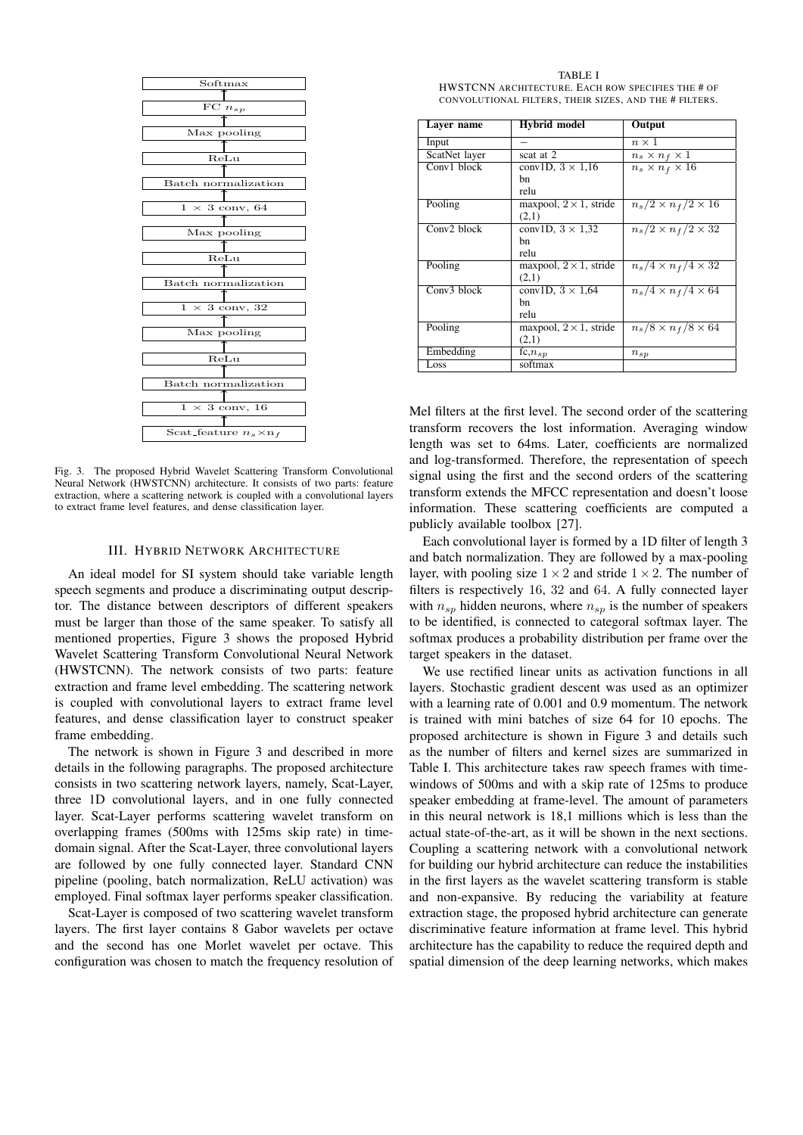

Fig. 3. The proposed Hybrid Wavelet Scattering Transform Convolutional Neural Network (HWSTCNN) architecture. It consists of two parts: feature extraction, where a scattering network is coupled with a convolutional layers to extract frame level features, and dense classification layer.

## III. HYBRID NETWORK ARCHITECTURE

An ideal model for SI system should take variable length speech segments and produce a discriminating output descriptor. The distance between descriptors of different speakers must be larger than those of the same speaker. To satisfy all mentioned properties, Figure 3 shows the proposed Hybrid Wavelet Scattering Transform Convolutional Neural Network (HWSTCNN). The network consists of two parts: feature extraction and frame level embedding. The scattering network is coupled with convolutional layers to extract frame level features, and dense classification layer to construct speaker frame embedding.

The network is shown in Figure 3 and described in more details in the following paragraphs. The proposed architecture consists in two scattering network layers, namely, Scat-Layer, three 1D convolutional layers, and in one fully connected layer. Scat-Layer performs scattering wavelet transform on overlapping frames (500ms with 125ms skip rate) in timedomain signal. After the Scat-Layer, three convolutional layers are followed by one fully connected layer. Standard CNN pipeline (pooling, batch normalization, ReLU activation) was employed. Final softmax layer performs speaker classification.

Scat-Layer is composed of two scattering wavelet transform layers. The first layer contains 8 Gabor wavelets per octave and the second has one Morlet wavelet per octave. This configuration was chosen to match the frequency resolution of

TABLE I HWSTCNN ARCHITECTURE. EACH ROW SPECIFIES THE # OF CONVOLUTIONAL FILTERS, THEIR SIZES, AND THE # FILTERS.

| Laver name    | <b>Hybrid</b> model            | Output                         |
|---------------|--------------------------------|--------------------------------|
| Input         |                                | $n \times 1$                   |
| ScatNet layer | scat at 2                      | $n_s \times n_f \times 1$      |
| Conv1 block   | conv1D, $3 \times 1,16$        | $n_s \times n_f \times 16$     |
|               | hn                             |                                |
|               | relu                           |                                |
| Pooling       | maxpool, $2 \times 1$ , stride | $n_s/2 \times n_f/2 \times 16$ |
|               | (2,1)                          |                                |
| Conv2 block   | conv1D, $3 \times 1,32$        | $n_s/2 \times n_f/2 \times 32$ |
|               | hn                             |                                |
|               | relu                           |                                |
| Pooling       | maxpool, $2 \times 1$ , stride | $n_s/4 \times n_f/4 \times 32$ |
|               | (2,1)                          |                                |
| Conv3 block   | conv1D, $3 \times 1,64$        | $n_s/4 \times n_f/4 \times 64$ |
|               | hn                             |                                |
|               | relu                           |                                |
| Pooling       | maxpool, $2 \times 1$ , stride | $n_s/8 \times n_f/8 \times 64$ |
|               | (2,1)                          |                                |
| Embedding     | fc, $n_{sp}$                   | $n_{sp}$                       |
| Loss          | softmax                        |                                |

Mel filters at the first level. The second order of the scattering transform recovers the lost information. Averaging window length was set to 64ms. Later, coefficients are normalized and log-transformed. Therefore, the representation of speech signal using the first and the second orders of the scattering transform extends the MFCC representation and doesn't loose information. These scattering coefficients are computed a publicly available toolbox [27].

Each convolutional layer is formed by a 1D filter of length 3 and batch normalization. They are followed by a max-pooling layer, with pooling size  $1 \times 2$  and stride  $1 \times 2$ . The number of filters is respectively 16, 32 and 64. A fully connected layer with  $n_{sp}$  hidden neurons, where  $n_{sp}$  is the number of speakers to be identified, is connected to categoral softmax layer. The softmax produces a probability distribution per frame over the target speakers in the dataset.

We use rectified linear units as activation functions in all layers. Stochastic gradient descent was used as an optimizer with a learning rate of 0.001 and 0.9 momentum. The network is trained with mini batches of size 64 for 10 epochs. The proposed architecture is shown in Figure 3 and details such as the number of filters and kernel sizes are summarized in Table I. This architecture takes raw speech frames with timewindows of 500ms and with a skip rate of 125ms to produce speaker embedding at frame-level. The amount of parameters in this neural network is 18,1 millions which is less than the actual state-of-the-art, as it will be shown in the next sections. Coupling a scattering network with a convolutional network for building our hybrid architecture can reduce the instabilities in the first layers as the wavelet scattering transform is stable and non-expansive. By reducing the variability at feature extraction stage, the proposed hybrid architecture can generate discriminative feature information at frame level. This hybrid architecture has the capability to reduce the required depth and spatial dimension of the deep learning networks, which makes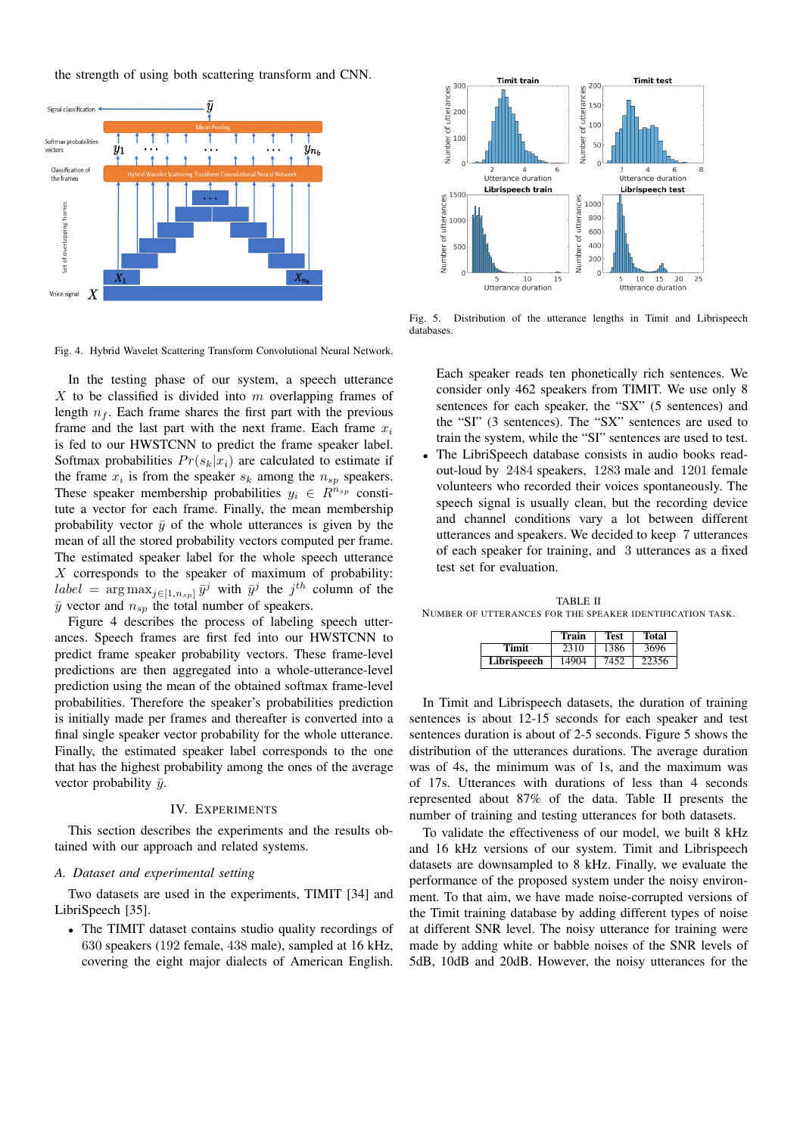the strength of using both scattering transform and CNN.



Fig. 4. Hybrid Wavelet Scattering Transform Convolutional Neural Network.

In the testing phase of our system, a speech utterance  $X$  to be classified is divided into  $m$  overlapping frames of length  $n_f$ . Each frame shares the first part with the previous frame and the last part with the next frame. Each frame  $x_i$ is fed to our HWSTCNN to predict the frame speaker label. Softmax probabilities  $Pr(s_k|x_i)$  are calculated to estimate if the frame  $x_i$  is from the speaker  $s_k$  among the  $n_{sp}$  speakers. These speaker membership probabilities  $y_i \in R^{n_{sp}}$  constitute a vector for each frame. Finally, the mean membership probability vector  $\bar{y}$  of the whole utterances is given by the mean of all the stored probability vectors computed per frame. The estimated speaker label for the whole speech utterance  $X$  corresponds to the speaker of maximum of probability:  $label = \arg \max_{j \in [1, n_{sp}]} \bar{y}^j$  with  $\bar{y}^j$  the  $j^{th}$  column of the  $\bar{y}$  vector and  $n_{sp}$  the total number of speakers.

Figure 4 describes the process of labeling speech utterances. Speech frames are first fed into our HWSTCNN to predict frame speaker probability vectors. These frame-level predictions are then aggregated into a whole-utterance-level prediction using the mean of the obtained softmax frame-level probabilities. Therefore the speaker's probabilities prediction is initially made per frames and thereafter is converted into a final single speaker vector probability for the whole utterance. Finally, the estimated speaker label corresponds to the one that has the highest probability among the ones of the average vector probability  $\bar{y}$ .

## IV. EXPERIMENTS

This section describes the experiments and the results obtained with our approach and related systems.

#### *A. Dataset and experimental setting*

Two datasets are used in the experiments, TIMIT [34] and LibriSpeech [35].

• The TIMIT dataset contains studio quality recordings of 630 speakers (192 female, 438 male), sampled at 16 kHz, covering the eight major dialects of American English.



Fig. 5. Distribution of the utterance lengths in Timit and Librispeech databases.

Each speaker reads ten phonetically rich sentences. We consider only 462 speakers from TIMIT. We use only 8 sentences for each speaker, the "SX" (5 sentences) and the "SI" (3 sentences). The "SX" sentences are used to train the system, while the "SI" sentences are used to test.

The LibriSpeech database consists in audio books readout-loud by 2484 speakers, 1283 male and 1201 female volunteers who recorded their voices spontaneously. The speech signal is usually clean, but the recording device and channel conditions vary a lot between different utterances and speakers. We decided to keep 7 utterances of each speaker for training, and 3 utterances as a fixed test set for evaluation.

TABLE II NUMBER OF UTTERANCES FOR THE SPEAKER IDENTIFICATION TASK.

|             | Train | <b>Test</b> | <b>Total</b> |
|-------------|-------|-------------|--------------|
| Timit       | 2310  | 1386        | 3696         |
| Librispeech | 14904 | 7452        | 22356        |

In Timit and Librispeech datasets, the duration of training sentences is about 12-15 seconds for each speaker and test sentences duration is about of 2-5 seconds. Figure 5 shows the distribution of the utterances durations. The average duration was of 4s, the minimum was of 1s, and the maximum was of 17s. Utterances with durations of less than 4 seconds represented about 87% of the data. Table II presents the number of training and testing utterances for both datasets.

To validate the effectiveness of our model, we built 8 kHz and 16 kHz versions of our system. Timit and Librispeech datasets are downsampled to 8 kHz. Finally, we evaluate the performance of the proposed system under the noisy environment. To that aim, we have made noise-corrupted versions of the Timit training database by adding different types of noise at different SNR level. The noisy utterance for training were made by adding white or babble noises of the SNR levels of 5dB, 10dB and 20dB. However, the noisy utterances for the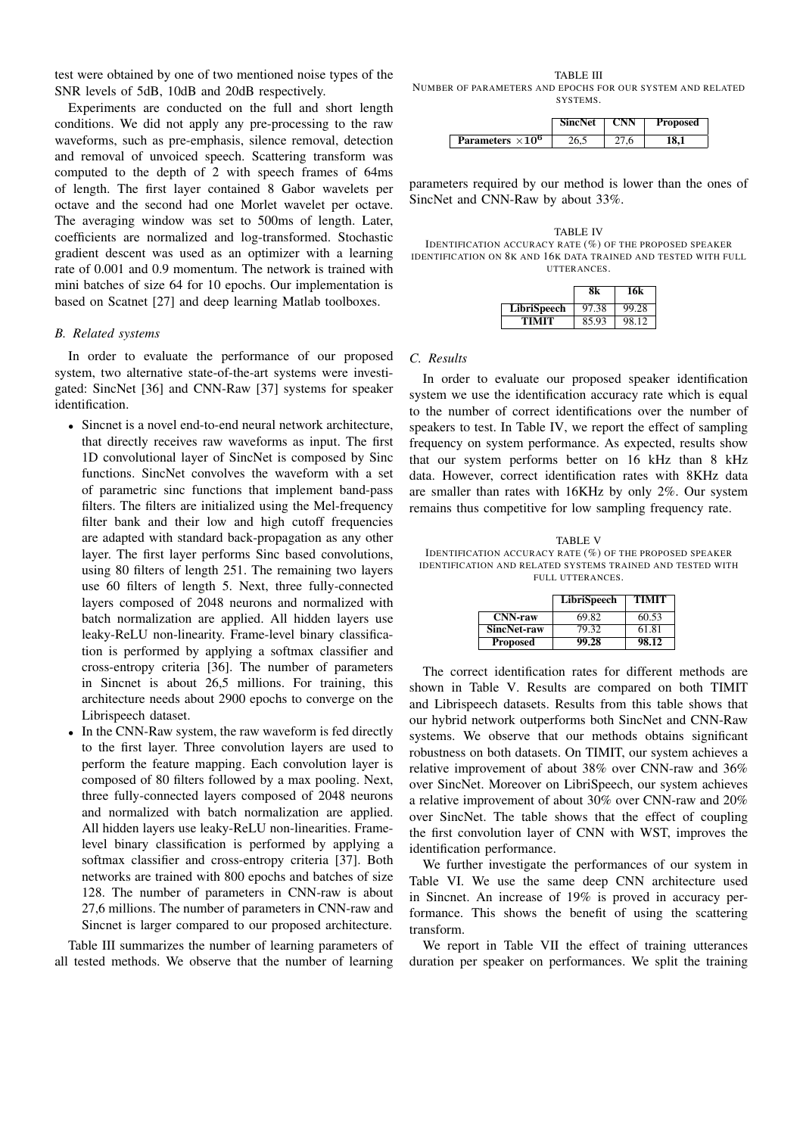test were obtained by one of two mentioned noise types of the SNR levels of 5dB, 10dB and 20dB respectively.

Experiments are conducted on the full and short length conditions. We did not apply any pre-processing to the raw waveforms, such as pre-emphasis, silence removal, detection and removal of unvoiced speech. Scattering transform was computed to the depth of 2 with speech frames of 64ms of length. The first layer contained 8 Gabor wavelets per octave and the second had one Morlet wavelet per octave. The averaging window was set to 500ms of length. Later, coefficients are normalized and log-transformed. Stochastic gradient descent was used as an optimizer with a learning rate of 0.001 and 0.9 momentum. The network is trained with mini batches of size 64 for 10 epochs. Our implementation is based on Scatnet [27] and deep learning Matlab toolboxes.

# *B. Related systems*

In order to evaluate the performance of our proposed system, two alternative state-of-the-art systems were investigated: SincNet [36] and CNN-Raw [37] systems for speaker identification.

- Sincnet is a novel end-to-end neural network architecture, that directly receives raw waveforms as input. The first 1D convolutional layer of SincNet is composed by Sinc functions. SincNet convolves the waveform with a set of parametric sinc functions that implement band-pass filters. The filters are initialized using the Mel-frequency filter bank and their low and high cutoff frequencies are adapted with standard back-propagation as any other layer. The first layer performs Sinc based convolutions, using 80 filters of length 251. The remaining two layers use 60 filters of length 5. Next, three fully-connected layers composed of 2048 neurons and normalized with batch normalization are applied. All hidden layers use leaky-ReLU non-linearity. Frame-level binary classification is performed by applying a softmax classifier and cross-entropy criteria [36]. The number of parameters in Sincnet is about 26,5 millions. For training, this architecture needs about 2900 epochs to converge on the Librispeech dataset.
- In the CNN-Raw system, the raw waveform is fed directly to the first layer. Three convolution layers are used to perform the feature mapping. Each convolution layer is composed of 80 filters followed by a max pooling. Next, three fully-connected layers composed of 2048 neurons and normalized with batch normalization are applied. All hidden layers use leaky-ReLU non-linearities. Framelevel binary classification is performed by applying a softmax classifier and cross-entropy criteria [37]. Both networks are trained with 800 epochs and batches of size 128. The number of parameters in CNN-raw is about 27,6 millions. The number of parameters in CNN-raw and Sincnet is larger compared to our proposed architecture.

Table III summarizes the number of learning parameters of all tested methods. We observe that the number of learning

TABLE III NUMBER OF PARAMETERS AND EPOCHS FOR OUR SYSTEM AND RELATED SYSTEMS.

|                          | <b>SincNet</b> | CNN | <b>Proposed</b> |
|--------------------------|----------------|-----|-----------------|
| Parameters $\times 10^6$ |                |     |                 |

parameters required by our method is lower than the ones of SincNet and CNN-Raw by about 33%.

TABLE IV IDENTIFICATION ACCURACY RATE (%) OF THE PROPOSED SPEAKER IDENTIFICATION ON 8K AND 16K DATA TRAINED AND TESTED WITH FULL UTTERANCES.

|             |       | 16k   |
|-------------|-------|-------|
| LibriSpeech | 97.38 | 99.28 |
| TIMIT       | 85.93 | 98.12 |

#### *C. Results*

In order to evaluate our proposed speaker identification system we use the identification accuracy rate which is equal to the number of correct identifications over the number of speakers to test. In Table IV, we report the effect of sampling frequency on system performance. As expected, results show that our system performs better on 16 kHz than 8 kHz data. However, correct identification rates with 8KHz data are smaller than rates with 16KHz by only 2%. Our system remains thus competitive for low sampling frequency rate.

TABLE V IDENTIFICATION ACCURACY RATE (%) OF THE PROPOSED SPEAKER IDENTIFICATION AND RELATED SYSTEMS TRAINED AND TESTED WITH FULL UTTERANCES.

|                    | LibriSpeech | <b>TIMIT</b> |
|--------------------|-------------|--------------|
| $CNN$ -raw         | 69.82       | 60.53        |
| <b>SincNet-raw</b> | 79.32       | 61.81        |
| <b>Proposed</b>    | 99.28       | 98.12        |

The correct identification rates for different methods are shown in Table V. Results are compared on both TIMIT and Librispeech datasets. Results from this table shows that our hybrid network outperforms both SincNet and CNN-Raw systems. We observe that our methods obtains significant robustness on both datasets. On TIMIT, our system achieves a relative improvement of about 38% over CNN-raw and 36% over SincNet. Moreover on LibriSpeech, our system achieves a relative improvement of about 30% over CNN-raw and 20% over SincNet. The table shows that the effect of coupling the first convolution layer of CNN with WST, improves the identification performance.

We further investigate the performances of our system in Table VI. We use the same deep CNN architecture used in Sincnet. An increase of 19% is proved in accuracy performance. This shows the benefit of using the scattering transform.

We report in Table VII the effect of training utterances duration per speaker on performances. We split the training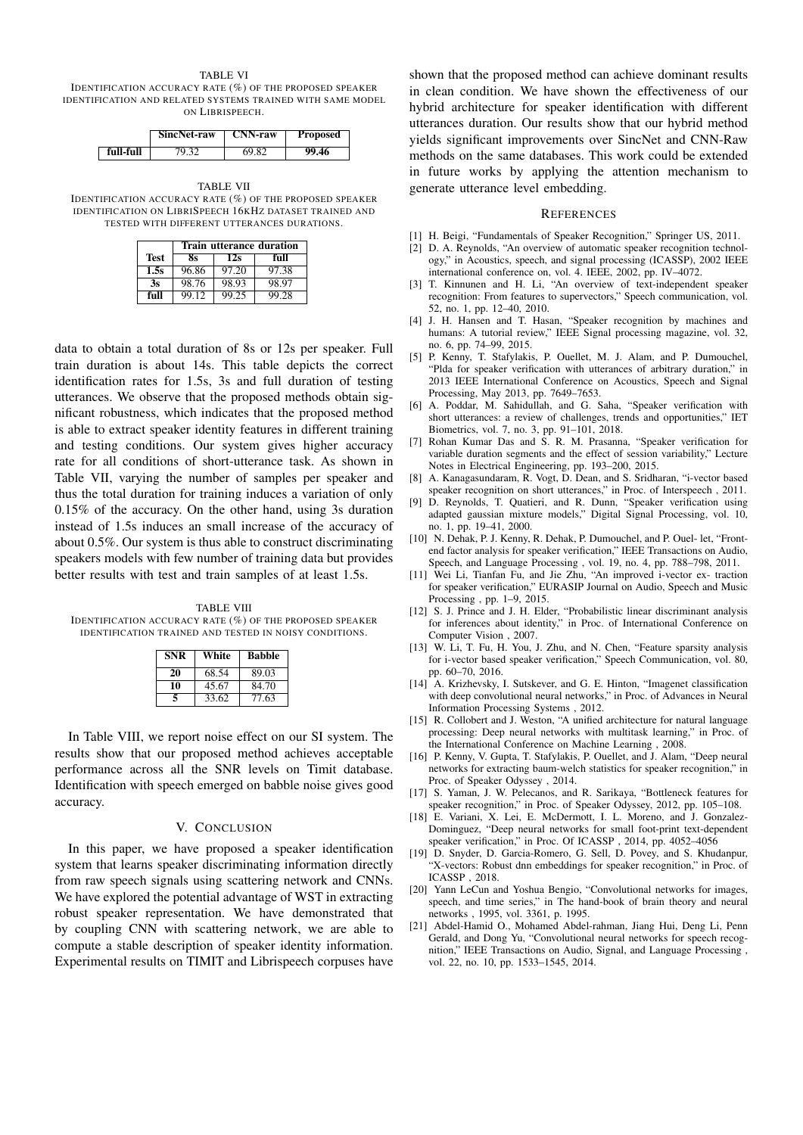#### TABLE VI

IDENTIFICATION ACCURACY RATE (%) OF THE PROPOSED SPEAKER IDENTIFICATION AND RELATED SYSTEMS TRAINED WITH SAME MODEL ON LIBRISPEECH.

|           | SincNet-raw | <b>CNN-raw</b> | <b>Proposed</b> |
|-----------|-------------|----------------|-----------------|
| full-full | 79.32       | 69.82          | 99.46           |

TABLE VII IDENTIFICATION ACCURACY RATE (%) OF THE PROPOSED SPEAKER IDENTIFICATION ON LIBRISPEECH 16KHZ DATASET TRAINED AND TESTED WITH DIFFERENT UTTERANCES DURATIONS.

|             | Train utterance duration |       |       |
|-------------|--------------------------|-------|-------|
| <b>Test</b> | 8s                       | 12s   | full  |
| 1.5s        | 96.86                    | 97.20 | 97.38 |
| 3s          | 98.76                    | 98.93 | 98.97 |
| full        | 99.12                    | 99.25 | 99.28 |

data to obtain a total duration of 8s or 12s per speaker. Full train duration is about 14s. This table depicts the correct identification rates for 1.5s, 3s and full duration of testing utterances. We observe that the proposed methods obtain significant robustness, which indicates that the proposed method is able to extract speaker identity features in different training and testing conditions. Our system gives higher accuracy rate for all conditions of short-utterance task. As shown in Table VII, varying the number of samples per speaker and thus the total duration for training induces a variation of only 0.15% of the accuracy. On the other hand, using 3s duration instead of 1.5s induces an small increase of the accuracy of about 0.5%. Our system is thus able to construct discriminating speakers models with few number of training data but provides better results with test and train samples of at least 1.5s.

TABLE VIII IDENTIFICATION ACCURACY RATE (%) OF THE PROPOSED SPEAKER IDENTIFICATION TRAINED AND TESTED IN NOISY CONDITIONS.

| <b>SNR</b> | White | <b>Babble</b> |
|------------|-------|---------------|
| 20         | 68.54 | 89.03         |
| 10         | 45.67 | 84.70         |
| 5          | 33.62 | 77.63         |

In Table VIII, we report noise effect on our SI system. The results show that our proposed method achieves acceptable performance across all the SNR levels on Timit database. Identification with speech emerged on babble noise gives good accuracy.

#### V. CONCLUSION

In this paper, we have proposed a speaker identification system that learns speaker discriminating information directly from raw speech signals using scattering network and CNNs. We have explored the potential advantage of WST in extracting robust speaker representation. We have demonstrated that by coupling CNN with scattering network, we are able to compute a stable description of speaker identity information. Experimental results on TIMIT and Librispeech corpuses have

shown that the proposed method can achieve dominant results in clean condition. We have shown the effectiveness of our hybrid architecture for speaker identification with different utterances duration. Our results show that our hybrid method yields significant improvements over SincNet and CNN-Raw methods on the same databases. This work could be extended in future works by applying the attention mechanism to generate utterance level embedding.

#### **REFERENCES**

- [1] H. Beigi, "Fundamentals of Speaker Recognition," Springer US, 2011.
- [2] D. A. Reynolds, "An overview of automatic speaker recognition technology," in Acoustics, speech, and signal processing (ICASSP), 2002 IEEE international conference on, vol. 4. IEEE, 2002, pp. IV–4072.
- [3] T. Kinnunen and H. Li, "An overview of text-independent speaker recognition: From features to supervectors," Speech communication, vol. 52, no. 1, pp. 12–40, 2010.
- [4] J. H. Hansen and T. Hasan, "Speaker recognition by machines and humans: A tutorial review," IEEE Signal processing magazine, vol. 32, no. 6, pp. 74–99, 2015.
- [5] P. Kenny, T. Stafylakis, P. Ouellet, M. J. Alam, and P. Dumouchel, "Plda for speaker verification with utterances of arbitrary duration," in 2013 IEEE International Conference on Acoustics, Speech and Signal Processing, May 2013, pp. 7649–7653.
- [6] A. Poddar, M. Sahidullah, and G. Saha, "Speaker verification with short utterances: a review of challenges, trends and opportunities," IET Biometrics, vol. 7, no. 3, pp. 91–101, 2018.
- [7] Rohan Kumar Das and S. R. M. Prasanna, "Speaker verification for variable duration segments and the effect of session variability," Lecture Notes in Electrical Engineering, pp. 193–200, 2015.
- [8] A. Kanagasundaram, R. Vogt, D. Dean, and S. Sridharan, "i-vector based speaker recognition on short utterances," in Proc. of Interspeech, 2011.
- [9] D. Reynolds, T. Quatieri, and R. Dunn, "Speaker verification using adapted gaussian mixture models," Digital Signal Processing, vol. 10, no. 1, pp. 19–41, 2000.
- [10] N. Dehak, P. J. Kenny, R. Dehak, P. Dumouchel, and P. Ouel- let, "Frontend factor analysis for speaker verification," IEEE Transactions on Audio, Speech, and Language Processing , vol. 19, no. 4, pp. 788–798, 2011.
- [11] Wei Li, Tianfan Fu, and Jie Zhu, "An improved i-vector ex- traction for speaker verification," EURASIP Journal on Audio, Speech and Music Processing , pp. 1–9, 2015.
- [12] S. J. Prince and J. H. Elder, "Probabilistic linear discriminant analysis for inferences about identity," in Proc. of International Conference on Computer Vision , 2007.
- [13] W. Li, T. Fu, H. You, J. Zhu, and N. Chen, "Feature sparsity analysis for i-vector based speaker verification," Speech Communication, vol. 80, pp. 60–70, 2016.
- [14] A. Krizhevsky, I. Sutskever, and G. E. Hinton, "Imagenet classification with deep convolutional neural networks," in Proc. of Advances in Neural Information Processing Systems , 2012.
- [15] R. Collobert and J. Weston, "A unified architecture for natural language processing: Deep neural networks with multitask learning," in Proc. of the International Conference on Machine Learning , 2008.
- [16] P. Kenny, V. Gupta, T. Stafylakis, P. Ouellet, and J. Alam, "Deep neural networks for extracting baum-welch statistics for speaker recognition," in Proc. of Speaker Odyssey , 2014.
- [17] S. Yaman, J. W. Pelecanos, and R. Sarikaya, "Bottleneck features for speaker recognition," in Proc. of Speaker Odyssey, 2012, pp. 105–108.
- [18] E. Variani, X. Lei, E. McDermott, I. L. Moreno, and J. Gonzalez-Dominguez, "Deep neural networks for small foot-print text-dependent speaker verification," in Proc. Of ICASSP , 2014, pp. 4052–4056
- [19] D. Snyder, D. Garcia-Romero, G. Sell, D. Povey, and S. Khudanpur, "X-vectors: Robust dnn embeddings for speaker recognition," in Proc. of ICASSP , 2018.
- [20] Yann LeCun and Yoshua Bengio, "Convolutional networks for images, speech, and time series," in The hand-book of brain theory and neural networks , 1995, vol. 3361, p. 1995.
- [21] Abdel-Hamid O., Mohamed Abdel-rahman, Jiang Hui, Deng Li, Penn Gerald, and Dong Yu, "Convolutional neural networks for speech recognition," IEEE Transactions on Audio, Signal, and Language Processing , vol. 22, no. 10, pp. 1533–1545, 2014.